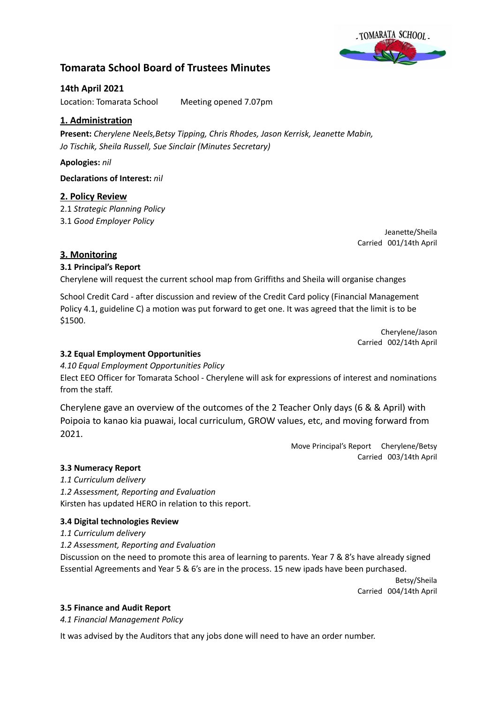

# **Tomarata School Board of Trustees Minutes**

## **14th April 2021**

Location: Tomarata School Meeting opened 7.07pm

## **1. Administration**

**Present:** *Cherylene Neels,Betsy Tipping, Chris Rhodes, Jason Kerrisk, Jeanette Mabin, Jo Tischik, Sheila Russell, Sue Sinclair (Minutes Secretary)*

## **Apologies:** *nil*

**Declarations of Interest:** *n*i*l*

## **2. Policy Review**

2.1 *Strategic Planning Policy* 3.1 *Good Employer Policy*

> Jeanette/Sheila Carried 001/14th April

## **3. Monitoring**

## **3.1 Principal's Report**

Cherylene will request the current school map from Griffiths and Sheila will organise changes

School Credit Card - after discussion and review of the Credit Card policy (Financial Management Policy 4.1, guideline C) a motion was put forward to get one. It was agreed that the limit is to be \$1500.

> Cherylene/Jason Carried 002/14th April

## **3.2 Equal Employment Opportunities**

*4.10 Equal Employment Opportunities Policy*

Elect EEO Officer for Tomarata School - Cherylene will ask for expressions of interest and nominations from the staff.

Cherylene gave an overview of the outcomes of the 2 Teacher Only days (6 & & April) with Poipoia to kanao kia puawai, local curriculum, GROW values, etc, and moving forward from 2021.

> Move Principal's Report Cherylene/Betsy Carried 003/14th April

## **3.3 Numeracy Report**

*1.1 Curriculum delivery 1.2 Assessment, Reporting and Evaluation* Kirsten has updated HERO in relation to this report.

## **3.4 Digital technologies Review**

*1.1 Curriculum delivery*

*1.2 Assessment, Reporting and Evaluation*

Discussion on the need to promote this area of learning to parents. Year 7 & 8's have already signed Essential Agreements and Year 5 & 6's are in the process. 15 new ipads have been purchased.

> Betsy/Sheila Carried 004/14th April

## **3.5 Finance and Audit Report**

*4.1 Financial Management Policy*

It was advised by the Auditors that any jobs done will need to have an order number.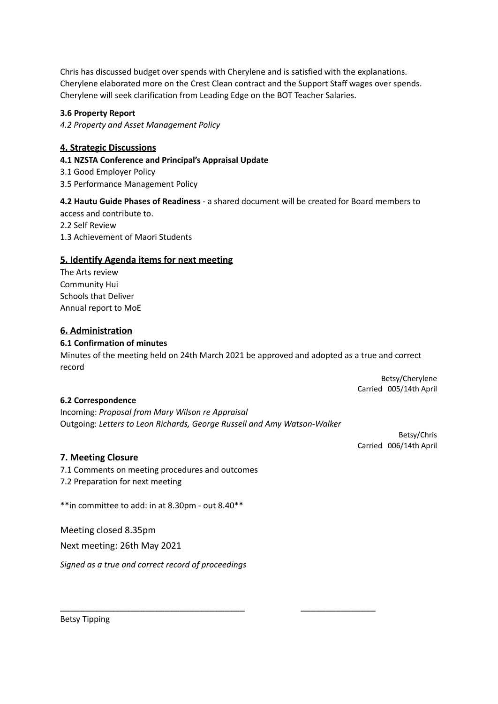Chris has discussed budget over spends with Cherylene and is satisfied with the explanations. Cherylene elaborated more on the Crest Clean contract and the Support Staff wages over spends. Cherylene will seek clarification from Leading Edge on the BOT Teacher Salaries.

#### **3.6 Property Report**

*4.2 Property and Asset Management Policy*

### **4. Strategic Discussions**

#### **4.1 NZSTA Conference and Principal's Appraisal Update**

3.1 Good Employer Policy

3.5 Performance Management Policy

#### **4.2 Hautu Guide Phases of Readiness** - a shared document will be created for Board members to

access and contribute to. 2.2 Self Review 1.3 Achievement of Maori Students

### **5. Identify Agenda items for next meeting**

The Arts review Community Hui Schools that Deliver Annual report to MoE

### **6. Administration**

#### **6.1 Confirmation of minutes**

Minutes of the meeting held on 24th March 2021 be approved and adopted as a true and correct record

> Betsy/Cherylene Carried 005/14th April

#### **6.2 Correspondence**

Incoming: *Proposal from Mary Wilson re Appraisal* Outgoing: *Letters to Leon Richards, George Russell and Amy Watson-Walker*

\_\_\_\_\_\_\_\_\_\_\_\_\_\_\_\_\_\_\_\_\_\_\_\_\_\_\_\_\_\_\_\_\_\_\_\_\_ \_\_\_\_\_\_\_\_\_\_\_\_\_\_\_

Betsy/Chris Carried 006/14th April

#### **7. Meeting Closure**

7.1 Comments on meeting procedures and outcomes 7.2 Preparation for next meeting

\*\*in committee to add: in at 8.30pm - out 8.40\*\*

Meeting closed 8.35pm

Next meeting: 26th May 2021

*Signed as a true and correct record of proceedings*

Betsy Tipping